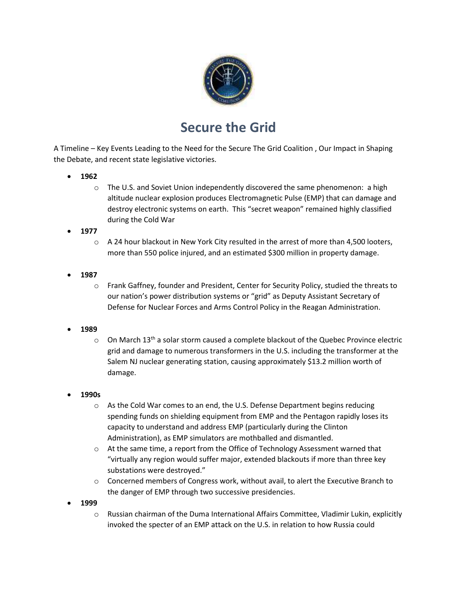

## **Secure the Grid**

A Timeline – Key Events Leading to the Need for the Secure The Grid Coalition , Our Impact in Shaping the Debate, and recent state legislative victories.

- **1962**
	- o The U.S. and Soviet Union independently discovered the same phenomenon: a high altitude nuclear explosion produces Electromagnetic Pulse (EMP) that can damage and destroy electronic systems on earth. This "secret weapon" remained highly classified during the Cold War
- **1977**
	- $\circ$  A 24 hour blackout in New York City resulted in the arrest of more than 4,500 looters, more than 550 police injured, and an estimated \$300 million in property damage.
- **1987**
	- o Frank Gaffney, founder and President, Center for Security Policy, studied the threats to our nation's power distribution systems or "grid" as Deputy Assistant Secretary of Defense for Nuclear Forces and Arms Control Policy in the Reagan Administration.
- **1989**
	- $\circ$  On March 13<sup>th</sup> a solar storm caused a complete blackout of the Quebec Province electric grid and damage to numerous transformers in the U.S. including the transformer at the Salem NJ nuclear generating station, causing approximately \$13.2 million worth of damage.
- **1990s**
	- $\circ$  As the Cold War comes to an end, the U.S. Defense Department begins reducing spending funds on shielding equipment from EMP and the Pentagon rapidly loses its capacity to understand and address EMP (particularly during the Clinton Administration), as EMP simulators are mothballed and dismantled.
	- $\circ$  At the same time, a report from the Office of Technology Assessment warned that "virtually any region would suffer major, extended blackouts if more than three key substations were destroyed."
	- $\circ$  Concerned members of Congress work, without avail, to alert the Executive Branch to the danger of EMP through two successive presidencies.
- **1999**
	- $\circ$  Russian chairman of the Duma International Affairs Committee, Vladimir Lukin, explicitly invoked the specter of an EMP attack on the U.S. in relation to how Russia could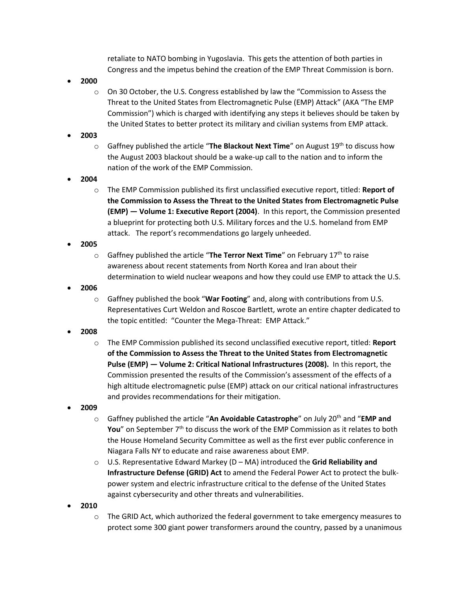retaliate to NATO bombing in Yugoslavia. This gets the attention of both parties in Congress and the impetus behind the creation of the EMP Threat Commission is born.

- **2000**
	- $\circ$  On 30 October, the U.S. Congress established by law the "Commission to Assess the Threat to the United States from Electromagnetic Pulse (EMP) Attack" (AKA "The EMP Commission") which is charged with identifying any steps it believes should be taken by the United States to better protect its military and civilian systems from EMP attack.
- **2003**
	- $\circ$  Gaffney published the article "**The Blackout Next Time**" on August 19<sup>th</sup> to discuss how the August 2003 blackout should be a wake-up call to the nation and to inform the nation of the work of the EMP Commission.
- **2004**
	- o The EMP Commission published its first unclassified executive report, titled: **Report of the Commission to Assess the Threat to the United States from Electromagnetic Pulse (EMP) — Volume 1: Executive Report (2004)**. In this report, the Commission presented a blueprint for protecting both U.S. Military forces and the U.S. homeland from EMP attack. The report's recommendations go largely unheeded.
- **2005**
	- o Gaffney published the article "**The Terror Next Time**" on February 17th to raise awareness about recent statements from North Korea and Iran about their determination to wield nuclear weapons and how they could use EMP to attack the U.S.
- **2006**
	- o Gaffney published the book "**War Footing**" and, along with contributions from U.S. Representatives Curt Weldon and Roscoe Bartlett, wrote an entire chapter dedicated to the topic entitled: "Counter the Mega-Threat: EMP Attack."
- **2008**
	- o The EMP Commission published its second unclassified executive report, titled: **Report of the Commission to Assess the Threat to the United States from Electromagnetic Pulse (EMP) — Volume 2: Critical National Infrastructures (2008).** In this report, the Commission presented the results of the Commission's assessment of the effects of a high altitude electromagnetic pulse (EMP) attack on our critical national infrastructures and provides recommendations for their mitigation.
- **2009**
	- o Gaffney published the article "**An Avoidable Catastrophe**" on July 20th and "**EMP and You**" on September 7<sup>th</sup> to discuss the work of the EMP Commission as it relates to both the House Homeland Security Committee as well as the first ever public conference in Niagara Falls NY to educate and raise awareness about EMP.
	- o U.S. Representative Edward Markey (D MA) introduced the **Grid Reliability and Infrastructure Defense (GRID) Act** to amend the Federal Power Act to protect the bulkpower system and electric infrastructure critical to the defense of the United States against cybersecurity and other threats and vulnerabilities.
- **2010**
	- $\circ$  The GRID Act, which authorized the federal government to take emergency measures to protect some 300 giant power transformers around the country, passed by a unanimous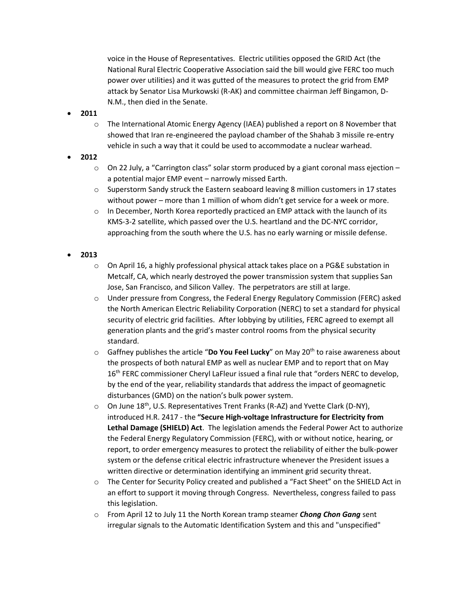voice in the House of Representatives. Electric utilities opposed the GRID Act (the National Rural Electric Cooperative Association said the bill would give FERC too much power over utilities) and it was gutted of the measures to protect the grid from EMP attack by Senator Lisa Murkowski (R-AK) and committee chairman Jeff Bingamon, D-N.M., then died in the Senate.

- **2011**
	- $\circ$  The International Atomic Energy Agency (IAEA) published a report on 8 November that showed that Iran re-engineered the payload chamber of the Shahab 3 missile re-entry vehicle in such a way that it could be used to accommodate a nuclear warhead.
- **2012**
	- o On 22 July, a "Carrington class" solar storm produced by a giant coronal mass ejection a potential major EMP event – narrowly missed Earth.
	- $\circ$  Superstorm Sandy struck the Eastern seaboard leaving 8 million customers in 17 states without power – more than 1 million of whom didn't get service for a week or more.
	- $\circ$  In December, North Korea reportedly practiced an EMP attack with the launch of its KMS-3-2 satellite, which passed over the U.S. heartland and the DC-NYC corridor, approaching from the south where the U.S. has no early warning or missile defense.
- **2013**
	- $\circ$  On April 16, a highly professional physical attack takes place on a PG&E substation in Metcalf, CA, which nearly destroyed the power transmission system that supplies San Jose, San Francisco, and Silicon Valley. The perpetrators are still at large.
	- o Under pressure from Congress, the Federal Energy Regulatory Commission (FERC) asked the North American Electric Reliability Corporation (NERC) to set a standard for physical security of electric grid facilities. After lobbying by utilities, FERC agreed to exempt all generation plants and the grid's master control rooms from the physical security standard.
	- $\circ$  Gaffney publishes the article "**Do You Feel Lucky**" on May 20<sup>th</sup> to raise awareness about the prospects of both natural EMP as well as nuclear EMP and to report that on May 16<sup>th</sup> FERC commissioner Cheryl LaFleur issued a final rule that "orders NERC to develop, by the end of the year, reliability standards that address the impact of geomagnetic disturbances (GMD) on the nation's bulk power system.
	- $\circ$  On June 18<sup>th</sup>, U.S. Representatives Trent Franks (R-AZ) and Yvette Clark (D-NY), introduced H.R. 2417 - the **"Secure High-voltage Infrastructure for Electricity from Lethal Damage (SHIELD) Act**. The legislation amends the Federal Power Act to authorize the Federal Energy Regulatory Commission (FERC), with or without notice, hearing, or report, to order emergency measures to protect the reliability of either the bulk-power system or the defense critical electric infrastructure whenever the President issues a written directive or determination identifying an imminent grid security threat.
	- o The Center for Security Policy created and published a "Fact Sheet" on the SHIELD Act in an effort to support it moving through Congress. Nevertheless, congress failed to pass this legislation.
	- o From April 12 to July 11 the North Korean tramp steamer *Chong Chon Gang* sent irregular signals to the Automatic Identification System and this and "unspecified"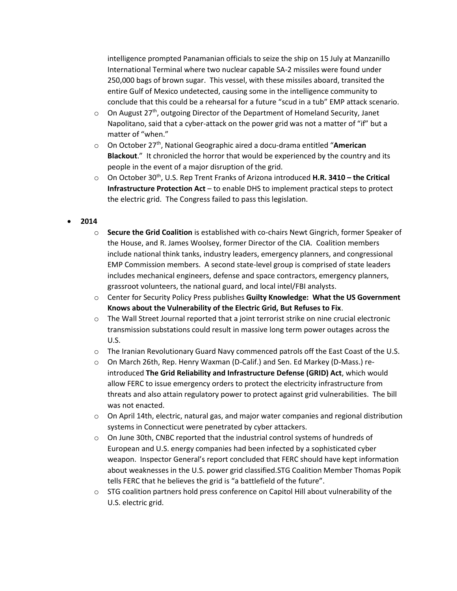intelligence prompted Panamanian officials to seize the ship on 15 July at Manzanillo International Terminal where two nuclear capable SA-2 missiles were found under 250,000 bags of brown sugar. This vessel, with these missiles aboard, transited the entire Gulf of Mexico undetected, causing some in the intelligence community to conclude that this could be a rehearsal for a future "scud in a tub" EMP attack scenario.

- $\circ$  On August 27<sup>th</sup>, outgoing Director of the Department of Homeland Security, Janet Napolitano, said that a cyber-attack on the power grid was not a matter of "if" but a matter of "when."
- o On October 27th, National Geographic aired a docu-drama entitled "**American Blackout**." It chronicled the horror that would be experienced by the country and its people in the event of a major disruption of the grid.
- $\circ$  On October 30<sup>th</sup>, U.S. Rep Trent Franks of Arizona introduced H.R. 3410 the Critical **Infrastructure Protection Act** – to enable DHS to implement practical steps to protect the electric grid. The Congress failed to pass this legislation.

## **2014**

- o **Secure the Grid Coalition** is established with co-chairs Newt Gingrich, former Speaker of the House, and R. James Woolsey, former Director of the CIA. Coalition members include national think tanks, industry leaders, emergency planners, and congressional EMP Commission members. A second state-level group is comprised of state leaders includes mechanical engineers, defense and space contractors, emergency planners, grassroot volunteers, the national guard, and local intel/FBI analysts.
- o Center for Security Policy Press publishes **Guilty Knowledge: What the US Government Knows about the Vulnerability of the Electric Grid, But Refuses to Fix**.
- $\circ$  The Wall Street Journal reported that a joint terrorist strike on nine crucial electronic transmission substations could result in massive long term power outages across the U.S.
- o The Iranian Revolutionary Guard Navy commenced patrols off the East Coast of the U.S.
- o On March 26th, Rep. Henry Waxman (D-Calif.) and Sen. Ed Markey (D-Mass.) reintroduced **The Grid Reliability and Infrastructure Defense (GRID) Act**, which would allow FERC to issue emergency orders to protect the electricity infrastructure from threats and also attain regulatory power to protect against grid vulnerabilities. The bill was not enacted.
- $\circ$  On April 14th, electric, natural gas, and major water companies and regional distribution systems in Connecticut were penetrated by cyber attackers.
- o On June 30th, CNBC reported that the industrial control systems of hundreds of European and U.S. energy companies had been infected by a sophisticated cyber weapon. Inspector General's report concluded that FERC should have kept information about weaknesses in the U.S. power grid classified.STG Coalition Member Thomas Popik tells FERC that he believes the grid is "a battlefield of the future".
- $\circ$  STG coalition partners hold press conference on Capitol Hill about vulnerability of the U.S. electric grid.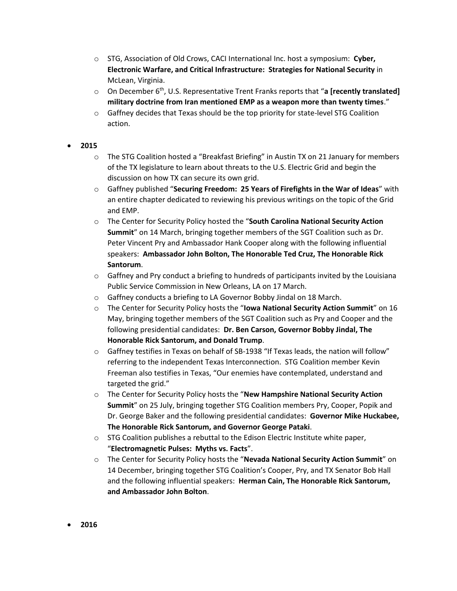- o STG, Association of Old Crows, CACI International Inc. host a symposium: **Cyber, Electronic Warfare, and Critical Infrastructure: Strategies for National Security** in McLean, Virginia.
- o On December 6th , U.S. Representative Trent Franks reports that "**a [recently translated] military doctrine from Iran mentioned EMP as a weapon more than twenty times**."
- $\circ$  Gaffney decides that Texas should be the top priority for state-level STG Coalition action.

## **2015**

- $\circ$  The STG Coalition hosted a "Breakfast Briefing" in Austin TX on 21 January for members of the TX legislature to learn about threats to the U.S. Electric Grid and begin the discussion on how TX can secure its own grid.
- o Gaffney published "**Securing Freedom: 25 Years of Firefights in the War of Ideas**" with an entire chapter dedicated to reviewing his previous writings on the topic of the Grid and EMP.
- o The Center for Security Policy hosted the "**South Carolina National Security Action Summit**" on 14 March, bringing together members of the SGT Coalition such as Dr. Peter Vincent Pry and Ambassador Hank Cooper along with the following influential speakers: **Ambassador John Bolton, The Honorable Ted Cruz, The Honorable Rick Santorum**.
- $\circ$  Gaffney and Pry conduct a briefing to hundreds of participants invited by the Louisiana Public Service Commission in New Orleans, LA on 17 March.
- o Gaffney conducts a briefing to LA Governor Bobby Jindal on 18 March.
- o The Center for Security Policy hosts the "**Iowa National Security Action Summit**" on 16 May, bringing together members of the SGT Coalition such as Pry and Cooper and the following presidential candidates: **Dr. Ben Carson, Governor Bobby Jindal, The Honorable Rick Santorum, and Donald Trump**.
- $\circ$  Gaffney testifies in Texas on behalf of SB-1938 "If Texas leads, the nation will follow" referring to the independent Texas Interconnection. STG Coalition member Kevin Freeman also testifies in Texas, "Our enemies have contemplated, understand and targeted the grid."
- o The Center for Security Policy hosts the "**New Hampshire National Security Action Summit**" on 25 July, bringing together STG Coalition members Pry, Cooper, Popik and Dr. George Baker and the following presidential candidates: **Governor Mike Huckabee, The Honorable Rick Santorum, and Governor George Pataki**.
- $\circ$  STG Coalition publishes a rebuttal to the Edison Electric Institute white paper, "**Electromagnetic Pulses: Myths vs. Facts**".
- o The Center for Security Policy hosts the "**Nevada National Security Action Summit**" on 14 December, bringing together STG Coalition's Cooper, Pry, and TX Senator Bob Hall and the following influential speakers: **Herman Cain, The Honorable Rick Santorum, and Ambassador John Bolton**.
- **2016**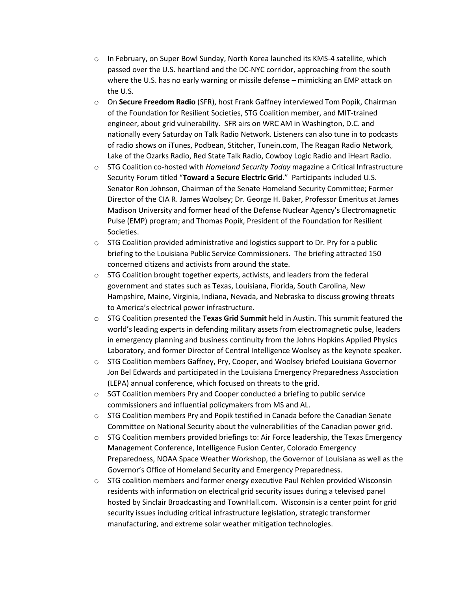- o In February, on Super Bowl Sunday, North Korea launched its KMS-4 satellite, which passed over the U.S. heartland and the DC-NYC corridor, approaching from the south where the U.S. has no early warning or missile defense – mimicking an EMP attack on the U.S.
- o On **Secure Freedom Radio** (SFR), host Frank Gaffney interviewed Tom Popik, Chairman of the Foundation for Resilient Societies, STG Coalition member, and MIT-trained engineer, about grid vulnerability. SFR airs on WRC AM in Washington, D.C. and nationally every Saturday on Talk Radio Network. Listeners can also tune in to podcasts of radio shows on iTunes, Podbean, Stitcher, Tunein.com, The Reagan Radio Network, Lake of the Ozarks Radio, Red State Talk Radio, Cowboy Logic Radio and iHeart Radio.
- o STG Coalition co-hosted with *Homeland Security Today* magazine a Critical Infrastructure Security Forum titled "**Toward a Secure Electric Grid**." Participants included U.S. Senator Ron Johnson, Chairman of the Senate Homeland Security Committee; Former Director of the CIA R. James Woolsey; Dr. George H. Baker, Professor Emeritus at James Madison University and former head of the Defense Nuclear Agency's Electromagnetic Pulse (EMP) program; and Thomas Popik, President of the Foundation for Resilient Societies.
- $\circ$  STG Coalition provided administrative and logistics support to Dr. Pry for a public briefing to the Louisiana Public Service Commissioners. The briefing attracted 150 concerned citizens and activists from around the state.
- o STG Coalition brought together experts, activists, and leaders from the federal government and states such as Texas, Louisiana, Florida, South Carolina, New Hampshire, Maine, Virginia, Indiana, Nevada, and Nebraska to discuss growing threats to America's electrical power infrastructure.
- o STG Coalition presented the **Texas Grid Summit** held in Austin. This summit featured the world's leading experts in defending military assets from electromagnetic pulse, leaders in emergency planning and business continuity from the Johns Hopkins Applied Physics Laboratory, and former Director of Central Intelligence Woolsey as the keynote speaker.
- $\circ$  STG Coalition members Gaffney, Pry, Cooper, and Woolsey briefed Louisiana Governor Jon Bel Edwards and participated in the Louisiana Emergency Preparedness Association (LEPA) annual conference, which focused on threats to the grid.
- o SGT Coalition members Pry and Cooper conducted a briefing to public service commissioners and influential policymakers from MS and AL.
- $\circ$  STG Coalition members Pry and Popik testified in Canada before the Canadian Senate Committee on National Security about the vulnerabilities of the Canadian power grid.
- $\circ$  STG Coalition members provided briefings to: Air Force leadership, the Texas Emergency Management Conference, Intelligence Fusion Center, Colorado Emergency Preparedness, NOAA Space Weather Workshop, the Governor of Louisiana as well as the Governor's Office of Homeland Security and Emergency Preparedness.
- $\circ$  STG coalition members and former energy executive Paul Nehlen provided Wisconsin residents with information on electrical grid security issues during a televised panel hosted by Sinclair Broadcasting and TownHall.com. Wisconsin is a center point for grid security issues including critical infrastructure legislation, strategic transformer manufacturing, and extreme solar weather mitigation technologies.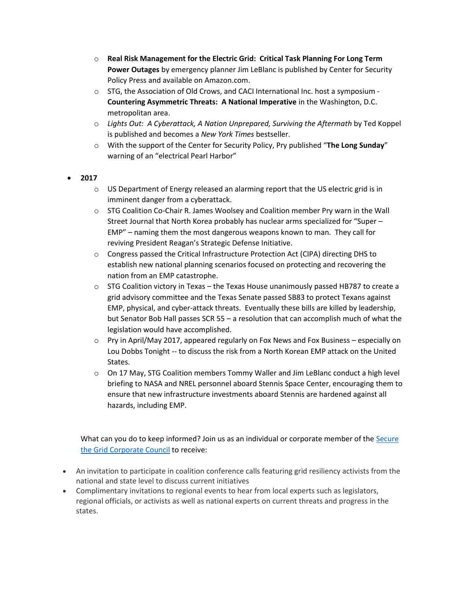- o **Real Risk Management for the Electric Grid: Critical Task Planning For Long Term Power Outages** by emergency planner Jim LeBlanc is published by Center for Security Policy Press and available on Amazon.com.
- o STG, the Association of Old Crows, and CACI International Inc. host a symposium **Countering Asymmetric Threats: A National Imperative** in the Washington, D.C. metropolitan area.
- o *Lights Out: A Cyberattack, A Nation Unprepared, Surviving the Aftermath* by Ted Koppel is published and becomes a *New York Times* bestseller.
- o With the support of the Center for Security Policy, Pry published "**The Long Sunday**" warning of an "electrical Pearl Harbor"
- **2017**
	- $\circ$  US Department of Energy released an alarming report that the US electric grid is in imminent danger from a cyberattack.
	- $\circ$  STG Coalition Co-Chair R. James Woolsey and Coalition member Pry warn in the Wall Street Journal that North Korea probably has nuclear arms specialized for "Super – EMP" – naming them the most dangerous weapons known to man. They call for reviving President Reagan's Strategic Defense Initiative.
	- $\circ$  Congress passed the Critical Infrastructure Protection Act (CIPA) directing DHS to establish new national planning scenarios focused on protecting and recovering the nation from an EMP catastrophe.
	- $\circ$  STG Coalition victory in Texas the Texas House unanimously passed HB787 to create a grid advisory committee and the Texas Senate passed SB83 to protect Texans against EMP, physical, and cyber-attack threats. Eventually these bills are killed by leadership, but Senator Bob Hall passes SCR 55 – a resolution that can accomplish much of what the legislation would have accomplished.
	- o Pry in April/May 2017, appeared regularly on Fox News and Fox Business especially on Lou Dobbs Tonight -- to discuss the risk from a North Korean EMP attack on the United States.
	- o On 17 May, STG Coalition members Tommy Waller and Jim LeBlanc conduct a high level briefing to NASA and NREL personnel aboard Stennis Space Center, encouraging them to ensure that new infrastructure investments aboard Stennis are hardened against all hazards, including EMP.

What can you do to keep informed? Join us as an individual or corporate member of the Secure [the Grid Corporate Council](http://securethegrid.com/resources/what-you-can-do/donate-now/) to receive:

- An invitation to participate in coalition conference calls featuring grid resiliency activists from the national and state level to discuss current initiatives
- Complimentary invitations to regional events to hear from local experts such as legislators, regional officials, or activists as well as national experts on current threats and progress in the states.